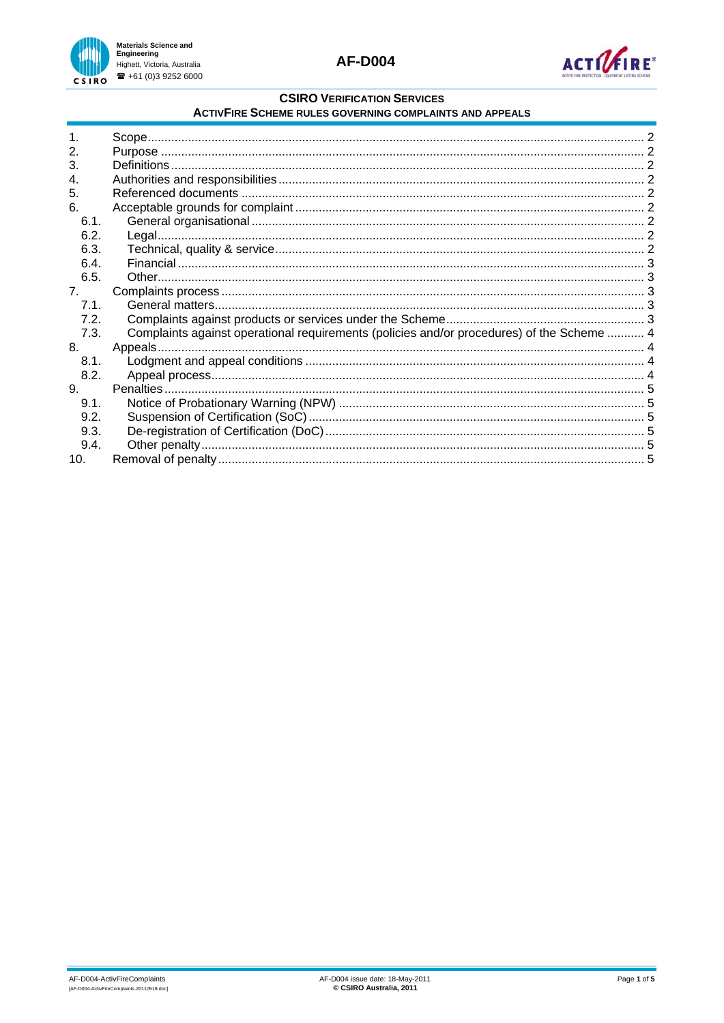



## **CSIRO VERIFICATION SERVICES**

#### **ACTIVFIRE SCHEME RULES GOVERNING COMPLAINTS AND APPEALS**

| $\mathbf{2}$ . |                                                                                           |  |
|----------------|-------------------------------------------------------------------------------------------|--|
| 3.             |                                                                                           |  |
| 4.             |                                                                                           |  |
| 5.             |                                                                                           |  |
| 6.             |                                                                                           |  |
| 6.1.           |                                                                                           |  |
| 6.2.           |                                                                                           |  |
| 6.3.           |                                                                                           |  |
| 6.4.           |                                                                                           |  |
| 6.5.           |                                                                                           |  |
| 7 <sub>1</sub> |                                                                                           |  |
| 7.1.           |                                                                                           |  |
| 7.2.           |                                                                                           |  |
| 7.3.           | Complaints against operational requirements (policies and/or procedures) of the Scheme  4 |  |
| 8.             |                                                                                           |  |
| 8.1.           |                                                                                           |  |
| 8.2.           |                                                                                           |  |
| 9.             |                                                                                           |  |
| 9.1.           |                                                                                           |  |
| 9.2.           |                                                                                           |  |
| 9.3.           |                                                                                           |  |
| 9.4.           |                                                                                           |  |
| 10.            |                                                                                           |  |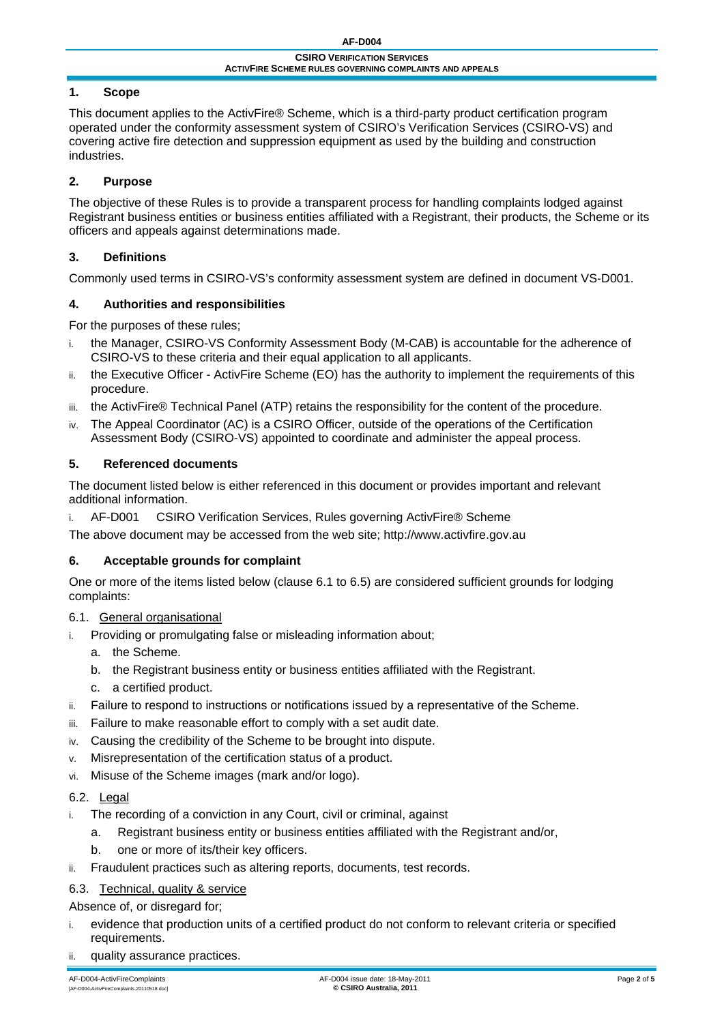# <span id="page-1-0"></span>**1. Scope**

This document applies to the ActivFire® Scheme, which is a third-party product certification program operated under the conformity assessment system of CSIRO's Verification Services (CSIRO-VS) and covering active fire detection and suppression equipment as used by the building and construction industries.

# **2. Purpose**

The objective of these Rules is to provide a transparent process for handling complaints lodged against Registrant business entities or business entities affiliated with a Registrant, their products, the Scheme or its officers and appeals against determinations made.

# **3. Definitions**

Commonly used terms in CSIRO-VS's conformity assessment system are defined in document VS-D001.

# <span id="page-1-3"></span>**4. Authorities and responsibilities**

For the purposes of these rules;

- i. the Manager, CSIRO-VS Conformity Assessment Body (M-CAB) is accountable for the adherence of CSIRO-VS to these criteria and their equal application to all applicants.
- ii. the Executive Officer ActivFire Scheme (EO) has the authority to implement the requirements of this procedure.
- iii. the ActivFire® Technical Panel (ATP) retains the responsibility for the content of the procedure.
- <span id="page-1-4"></span>iv. The Appeal Coordinator (AC) is a CSIRO Officer, outside of the operations of the Certification Assessment Body (CSIRO-VS) appointed to coordinate and administer the appeal process.

# **5. Referenced documents**

The document listed below is either referenced in this document or provides important and relevant additional information.

i. AF-D001 CSIRO Verification Services, Rules governing ActivFire® Scheme

The above document may be accessed from the web site; http://www.activfire.gov.au

## <span id="page-1-2"></span>**6. Acceptable grounds for complaint**

One or more of the items listed below (clause [6.1](#page-1-1) to [6.5\)](#page-2-1) are considered sufficient grounds for lodging complaints:

## <span id="page-1-1"></span>6.1. General organisational

- i. Providing or promulgating false or misleading information about;
	- a. the Scheme.
	- b. the Registrant business entity or business entities affiliated with the Registrant.
	- c. a certified product.
- ii. Failure to respond to instructions or notifications issued by a representative of the Scheme.
- iii. Failure to make reasonable effort to comply with a set audit date.
- iv. Causing the credibility of the Scheme to be brought into dispute.
- v. Misrepresentation of the certification status of a product.
- vi. Misuse of the Scheme images (mark and/or logo).

## 6.2. Legal

- The recording of a conviction in any Court, civil or criminal, against
	- a. Registrant business entity or business entities affiliated with the Registrant and/or,
	- b. one or more of its/their key officers.
- ii. Fraudulent practices such as altering reports, documents, test records.

## 6.3. Technical, quality & service

## Absence of, or disregard for;

- i. evidence that production units of a certified product do not conform to relevant criteria or specified requirements.
- ii. quality assurance practices.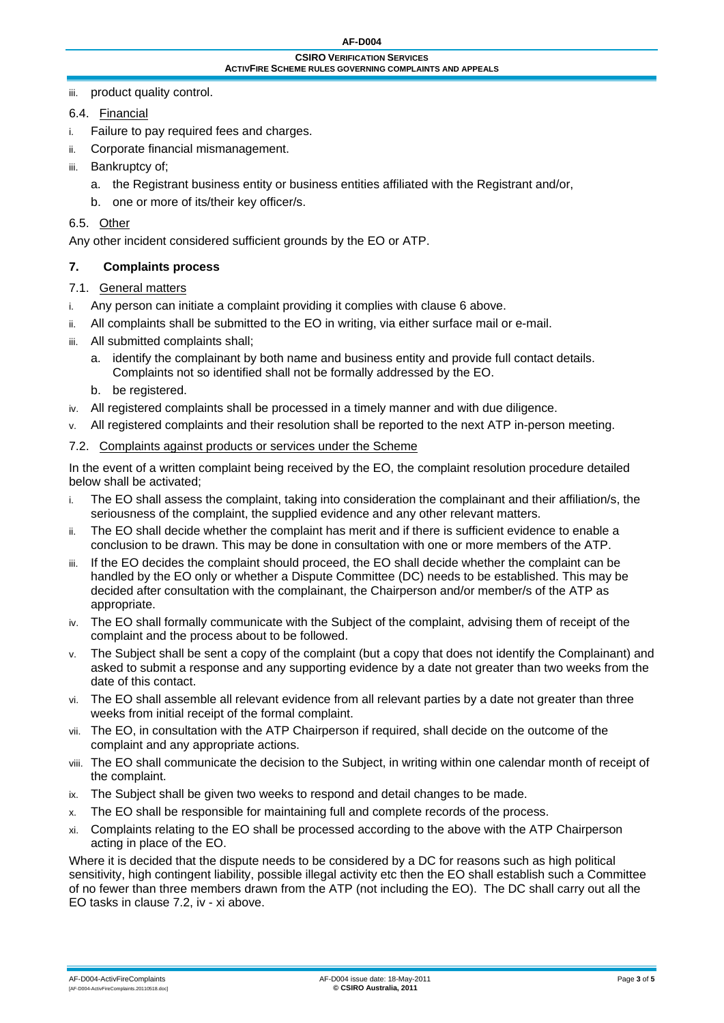<span id="page-2-0"></span>iii. product quality control.

## 6.4. Financial

- i. Failure to pay required fees and charges.
- ii. Corporate financial mismanagement.
- iii. Bankruptcy of;
	- a. the Registrant business entity or business entities affiliated with the Registrant and/or,
	- b. one or more of its/their key officer/s.

#### <span id="page-2-1"></span>6.5. Other

Any other incident considered sufficient grounds by the EO or ATP.

### **7. Complaints process**

### 7.1. General matters

- i. Any person can initiate a complaint providing it complies with clause [6](#page-1-2) above.
- ii. All complaints shall be submitted to the EO in writing, via either surface mail or e-mail.
- iii. All submitted complaints shall:
	- a. identify the complainant by both name and business entity and provide full contact details. Complaints not so identified shall not be formally addressed by the EO.
	- b. be registered.
- iv. All registered complaints shall be processed in a timely manner and with due diligence.
- v. All registered complaints and their resolution shall be reported to the next ATP in-person meeting.

### <span id="page-2-2"></span>7.2. Complaints against products or services under the Scheme

In the event of a written complaint being received by the EO, the complaint resolution procedure detailed below shall be activated;

- i. The EO shall assess the complaint, taking into consideration the complainant and their affiliation/s, the seriousness of the complaint, the supplied evidence and any other relevant matters.
- ii. The EO shall decide whether the complaint has merit and if there is sufficient evidence to enable a conclusion to be drawn. This may be done in consultation with one or more members of the ATP.
- iii. If the EO decides the complaint should proceed, the EO shall decide whether the complaint can be handled by the EO only or whether a Dispute Committee (DC) needs to be established. This may be decided after consultation with the complainant, the Chairperson and/or member/s of the ATP as appropriate.
- <span id="page-2-3"></span>iv. The EO shall formally communicate with the Subject of the complaint, advising them of receipt of the complaint and the process about to be followed.
- v. The Subject shall be sent a copy of the complaint (but a copy that does not identify the Complainant) and asked to submit a response and any supporting evidence by a date not greater than two weeks from the date of this contact.
- vi. The EO shall assemble all relevant evidence from all relevant parties by a date not greater than three weeks from initial receipt of the formal complaint.
- vii. The EO, in consultation with the ATP Chairperson if required, shall decide on the outcome of the complaint and any appropriate actions.
- viii. The EO shall communicate the decision to the Subject, in writing within one calendar month of receipt of the complaint.
- ix. The Subject shall be given two weeks to respond and detail changes to be made.
- x. The EO shall be responsible for maintaining full and complete records of the process.
- <span id="page-2-4"></span>xi. Complaints relating to the EO shall be processed according to the above with the ATP Chairperson acting in place of the EO.

Where it is decided that the dispute needs to be considered by a DC for reasons such as high political sensitivity, high contingent liability, possible illegal activity etc then the EO shall establish such a Committee of no fewer than three members drawn from the ATP (not including the EO). The DC shall carry out all the EO tasks in clause [7.2](#page-2-2), [iv](#page-2-3) - [xi](#page-2-4) above.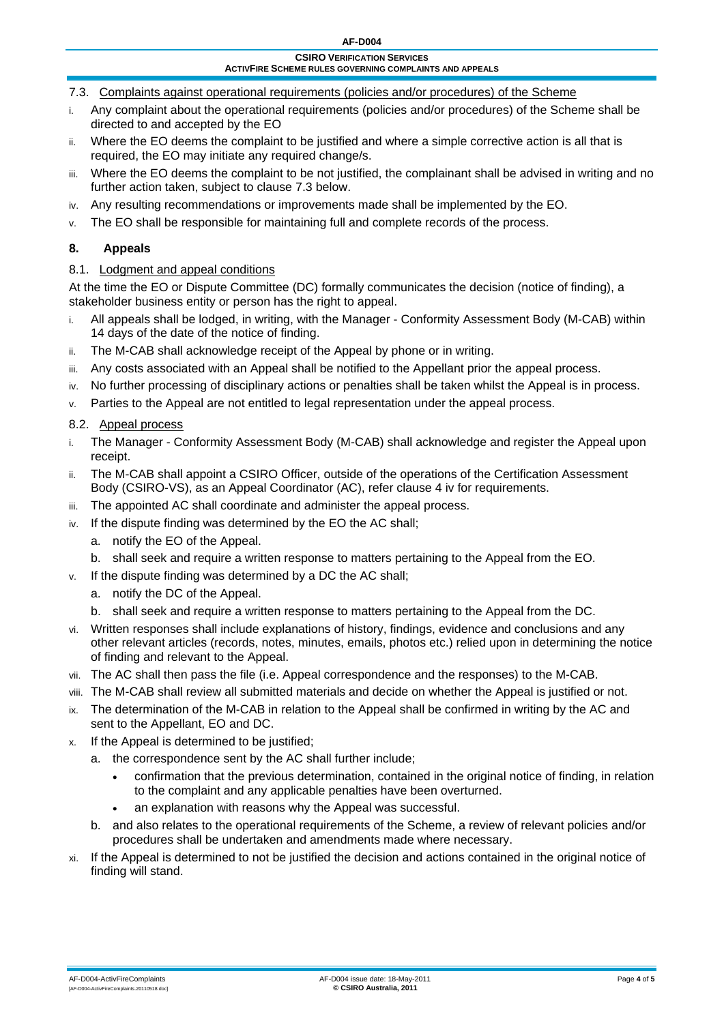- <span id="page-3-1"></span><span id="page-3-0"></span>7.3. Complaints against operational requirements (policies and/or procedures) of the Scheme
- i. Any complaint about the operational requirements (policies and/or procedures) of the Scheme shall be directed to and accepted by the EO
- ii. Where the EO deems the complaint to be justified and where a simple corrective action is all that is required, the EO may initiate any required change/s.
- iii. Where the EO deems the complaint to be not justified, the complainant shall be advised in writing and no further action taken, subject to clause [7.3](#page-3-1) below.
- iv. Any resulting recommendations or improvements made shall be implemented by the EO.
- v. The EO shall be responsible for maintaining full and complete records of the process.

# **8. Appeals**

## 8.1. Lodgment and appeal conditions

At the time the EO or Dispute Committee (DC) formally communicates the decision (notice of finding), a stakeholder business entity or person has the right to appeal.

- i. All appeals shall be lodged, in writing, with the Manager Conformity Assessment Body (M-CAB) within 14 days of the date of the notice of finding.
- ii. The M-CAB shall acknowledge receipt of the Appeal by phone or in writing.
- iii. Any costs associated with an Appeal shall be notified to the Appellant prior the appeal process.
- iv. No further processing of disciplinary actions or penalties shall be taken whilst the Appeal is in process.
- v. Parties to the Appeal are not entitled to legal representation under the appeal process.

### 8.2. Appeal process

- i. The Manager Conformity Assessment Body (M-CAB) shall acknowledge and register the Appeal upon receipt.
- ii. The M-CAB shall appoint a CSIRO Officer, outside of the operations of the Certification Assessment Body (CSIRO-VS), as an Appeal Coordinator (AC), refer clause [4](#page-1-3) [iv](#page-1-4) for requirements.
- iii. The appointed AC shall coordinate and administer the appeal process.
- iv. If the dispute finding was determined by the EO the AC shall;
	- a. notify the EO of the Appeal.
	- b. shall seek and require a written response to matters pertaining to the Appeal from the EO.
- v. If the dispute finding was determined by a DC the AC shall;
	- a. notify the DC of the Appeal.
	- b. shall seek and require a written response to matters pertaining to the Appeal from the DC.
- vi. Written responses shall include explanations of history, findings, evidence and conclusions and any other relevant articles (records, notes, minutes, emails, photos etc.) relied upon in determining the notice of finding and relevant to the Appeal.
- vii. The AC shall then pass the file (i.e. Appeal correspondence and the responses) to the M-CAB.
- viii. The M-CAB shall review all submitted materials and decide on whether the Appeal is justified or not.
- ix. The determination of the M-CAB in relation to the Appeal shall be confirmed in writing by the AC and sent to the Appellant, EO and DC.
- x. If the Appeal is determined to be justified;
	- a. the correspondence sent by the AC shall further include;
		- confirmation that the previous determination, contained in the original notice of finding, in relation to the complaint and any applicable penalties have been overturned.
		- an explanation with reasons why the Appeal was successful.
	- b. and also relates to the operational requirements of the Scheme, a review of relevant policies and/or procedures shall be undertaken and amendments made where necessary.
- xi. If the Appeal is determined to not be justified the decision and actions contained in the original notice of finding will stand.